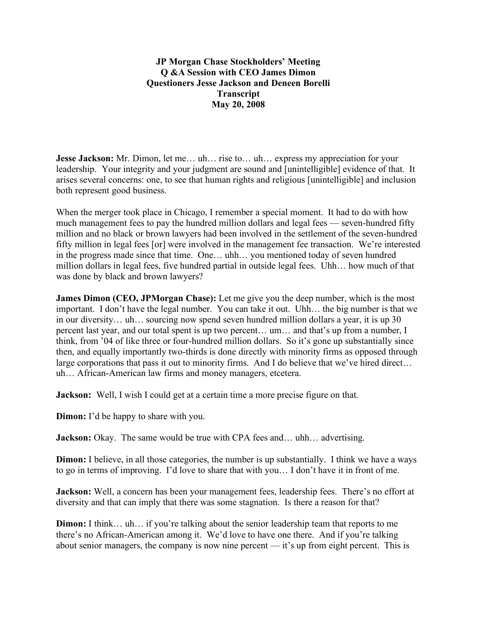**JP Morgan Chase Stockholders' Meeting Q &A Session with CEO James Dimon Questioners Jesse Jackson and Deneen Borelli Transcript May 20, 2008**

**Jesse Jackson:** Mr. Dimon, let me... uh... rise to... uh... express my appreciation for your leadership. Your integrity and your judgment are sound and [unintelligible] evidence of that. It arises several concerns: one, to see that human rights and religious [unintelligible] and inclusion both represent good business.

When the merger took place in Chicago, I remember a special moment. It had to do with how much management fees to pay the hundred million dollars and legal fees — seven-hundred fifty million and no black or brown lawyers had been involved in the settlement of the seven-hundred fifty million in legal fees [or] were involved in the management fee transaction. We're interested in the progress made since that time. One… uhh… you mentioned today of seven hundred million dollars in legal fees, five hundred partial in outside legal fees. Uhh… how much of that was done by black and brown lawyers?

**James Dimon (CEO, JPMorgan Chase):** Let me give you the deep number, which is the most important. I don't have the legal number. You can take it out. Uhh… the big number is that we in our diversity… uh… sourcing now spend seven hundred million dollars a year, it is up 30 percent last year, and our total spent is up two percent… um… and that's up from a number, I think, from '04 of like three or four-hundred million dollars. So it's gone up substantially since then, and equally importantly two-thirds is done directly with minority firms as opposed through large corporations that pass it out to minority firms. And I do believe that we've hired direct… uh… African-American law firms and money managers, etcetera.

**Jackson:** Well, I wish I could get at a certain time a more precise figure on that.

**Dimon:** I'd be happy to share with you.

**Jackson:** Okay. The same would be true with CPA fees and... uhh... advertising.

**Dimon:** I believe, in all those categories, the number is up substantially. I think we have a ways to go in terms of improving. I'd love to share that with you… I don't have it in front of me.

**Jackson:** Well, a concern has been your management fees, leadership fees. There's no effort at diversity and that can imply that there was some stagnation. Is there a reason for that?

**Dimon:** I think... uh... if you're talking about the senior leadership team that reports to me there's no African-American among it. We'd love to have one there. And if you're talking about senior managers, the company is now nine percent — it's up from eight percent. This is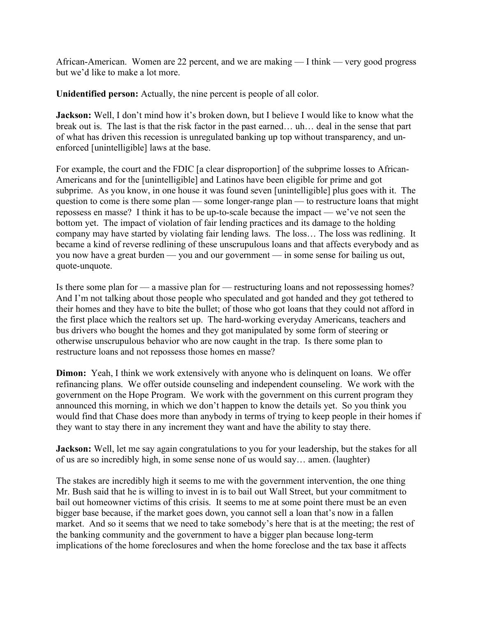African-American. Women are 22 percent, and we are making — I think — very good progress but we'd like to make a lot more.

**Unidentified person:** Actually, the nine percent is people of all color.

**Jackson:** Well, I don't mind how it's broken down, but I believe I would like to know what the break out is. The last is that the risk factor in the past earned… uh… deal in the sense that part of what has driven this recession is unregulated banking up top without transparency, and unenforced [unintelligible] laws at the base.

For example, the court and the FDIC [a clear disproportion] of the subprime losses to African-Americans and for the [unintelligible] and Latinos have been eligible for prime and got subprime. As you know, in one house it was found seven [unintelligible] plus goes with it. The question to come is there some plan — some longer-range plan — to restructure loans that might repossess en masse? I think it has to be up-to-scale because the impact — we've not seen the bottom yet. The impact of violation of fair lending practices and its damage to the holding company may have started by violating fair lending laws. The loss… The loss was redlining. It became a kind of reverse redlining of these unscrupulous loans and that affects everybody and as you now have a great burden — you and our government — in some sense for bailing us out, quote-unquote.

Is there some plan for — a massive plan for — restructuring loans and not repossessing homes? And I'm not talking about those people who speculated and got handed and they got tethered to their homes and they have to bite the bullet; of those who got loans that they could not afford in the first place which the realtors set up. The hard-working everyday Americans, teachers and bus drivers who bought the homes and they got manipulated by some form of steering or otherwise unscrupulous behavior who are now caught in the trap. Is there some plan to restructure loans and not repossess those homes en masse?

**Dimon:** Yeah, I think we work extensively with anyone who is delinquent on loans. We offer refinancing plans. We offer outside counseling and independent counseling. We work with the government on the Hope Program. We work with the government on this current program they announced this morning, in which we don't happen to know the details yet. So you think you would find that Chase does more than anybody in terms of trying to keep people in their homes if they want to stay there in any increment they want and have the ability to stay there.

**Jackson:** Well, let me say again congratulations to you for your leadership, but the stakes for all of us are so incredibly high, in some sense none of us would say… amen. (laughter)

The stakes are incredibly high it seems to me with the government intervention, the one thing Mr. Bush said that he is willing to invest in is to bail out Wall Street, but your commitment to bail out homeowner victims of this crisis. It seems to me at some point there must be an even bigger base because, if the market goes down, you cannot sell a loan that's now in a fallen market. And so it seems that we need to take somebody's here that is at the meeting; the rest of the banking community and the government to have a bigger plan because long-term implications of the home foreclosures and when the home foreclose and the tax base it affects